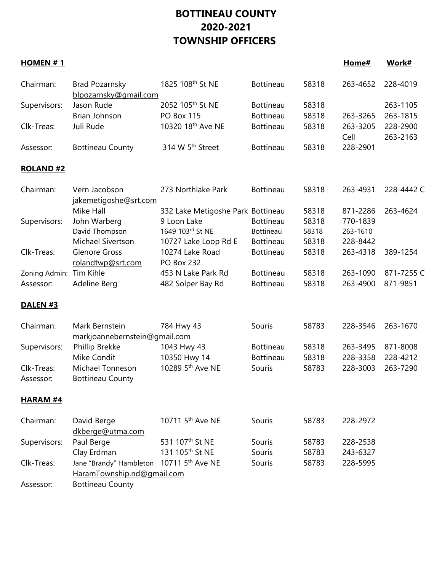## **BOTTINEAU COUNTY 2020-2021 TOWNSHIP OFFICERS**

| HOMEN $# 1$         |                                         |                                   |                  |       | Home#            | Work#                |
|---------------------|-----------------------------------------|-----------------------------------|------------------|-------|------------------|----------------------|
| Chairman:           | Brad Pozarnsky<br>blpozarnsky@gmail.com | 1825 108 <sup>th</sup> St NE      | <b>Bottineau</b> | 58318 | 263-4652         | 228-4019             |
| Supervisors:        | Jason Rude                              | 2052 105 <sup>th</sup> St NE      | <b>Bottineau</b> | 58318 |                  | 263-1105             |
|                     | Brian Johnson                           | PO Box 115                        | <b>Bottineau</b> | 58318 | 263-3265         | 263-1815             |
| Clk-Treas:          | Juli Rude                               | 10320 18th Ave NE                 | <b>Bottineau</b> | 58318 | 263-3205<br>Cell | 228-2900<br>263-2163 |
| Assessor:           | <b>Bottineau County</b>                 | 314 W 5 <sup>th</sup> Street      | <b>Bottineau</b> | 58318 | 228-2901         |                      |
| <b>ROLAND#2</b>     |                                         |                                   |                  |       |                  |                      |
| Chairman:           | Vern Jacobson                           | 273 Northlake Park                | <b>Bottineau</b> | 58318 | 263-4931         | 228-4442 C           |
|                     | jakemetigoshe@srt.com                   |                                   |                  |       |                  |                      |
|                     | Mike Hall                               | 332 Lake Metigoshe Park Bottineau |                  | 58318 | 871-2286         | 263-4624             |
| Supervisors:        | John Warberg                            | 9 Loon Lake                       | <b>Bottineau</b> | 58318 | 770-1839         |                      |
|                     | David Thompson                          | 1649 103rd St NE                  | Bottineau        | 58318 | 263-1610         |                      |
|                     | Michael Sivertson                       | 10727 Lake Loop Rd E              | <b>Bottineau</b> | 58318 | 228-8442         |                      |
| Clk-Treas:          | <b>Glenore Gross</b>                    | 10274 Lake Road                   | <b>Bottineau</b> | 58318 | 263-4318         | 389-1254             |
|                     | rolandtwp@srt.com                       | <b>PO Box 232</b>                 |                  |       |                  |                      |
| Zoning Admin:       | Tim Kihle                               | 453 N Lake Park Rd                | <b>Bottineau</b> | 58318 | 263-1090         | 871-7255 C           |
| Assessor:           | Adeline Berg                            | 482 Solper Bay Rd                 | <b>Bottineau</b> | 58318 | 263-4900         | 871-9851             |
| DALEN <sub>#3</sub> |                                         |                                   |                  |       |                  |                      |
| Chairman:           | Mark Bernstein                          | 784 Hwy 43                        | Souris           | 58783 | 228-3546         | 263-1670             |
|                     | markjoannebernstein@gmail.com           |                                   |                  |       |                  |                      |
| Supervisors:        | Phillip Brekke                          | 1043 Hwy 43                       | <b>Bottineau</b> | 58318 | 263-3495         | 871-8008             |
|                     | Mike Condit                             | 10350 Hwy 14                      | <b>Bottineau</b> | 58318 | 228-3358         | 228-4212             |
| Clk-Treas:          | Michael Tonneson                        | 10289 5 <sup>th</sup> Ave NE      | Souris           | 58783 | 228-3003         | 263-7290             |
| Assessor:           | <b>Bottineau County</b>                 |                                   |                  |       |                  |                      |
| <b>HARAM #4</b>     |                                         |                                   |                  |       |                  |                      |
| Chairman:           | David Berge<br>dkberge@utma.com         | 10711 5 <sup>th</sup> Ave NE      | Souris           | 58783 | 228-2972         |                      |
| Supervisors:        | Paul Berge                              | 531 107 <sup>th</sup> St NE       | Souris           | 58783 | 228-2538         |                      |
|                     | Clay Erdman                             | 131 105 <sup>th</sup> St NE       | Souris           | 58783 | 243-6327         |                      |
| Clk-Treas:          | Jane "Brandy" Hambleton                 | 10711 5 <sup>th</sup> Ave NE      | Souris           | 58783 | 228-5995         |                      |
|                     | HaramTownship.nd@gmail.com              |                                   |                  |       |                  |                      |
| Assessor:           | <b>Bottineau County</b>                 |                                   |                  |       |                  |                      |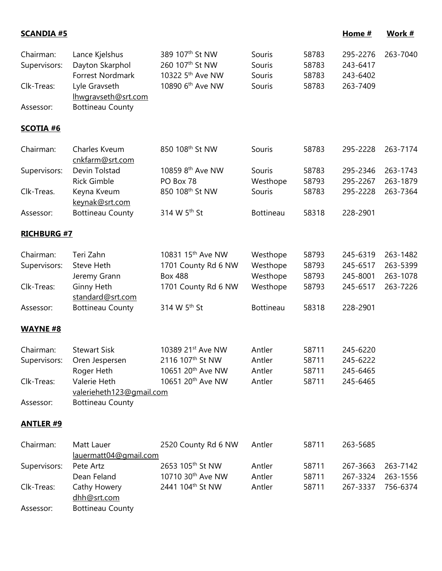| Chairman:<br>Supervisors:<br>Clk-Treas: | Lance Kjelshus<br>Dayton Skarphol<br>Forrest Nordmark<br>Lyle Gravseth<br>Ihwgravseth@srt.com | 389 107 <sup>th</sup> St NW<br>260 107th St NW<br>10322 5 <sup>th</sup> Ave NW<br>10890 6 <sup>th</sup> Ave NW | Souris<br>Souris<br>Souris<br>Souris | 58783<br>58783<br>58783<br>58783 | 295-2276<br>243-6417<br>243-6402<br>263-7409 | 263-7040             |
|-----------------------------------------|-----------------------------------------------------------------------------------------------|----------------------------------------------------------------------------------------------------------------|--------------------------------------|----------------------------------|----------------------------------------------|----------------------|
| Assessor:                               | <b>Bottineau County</b>                                                                       |                                                                                                                |                                      |                                  |                                              |                      |
| <b>SCOTIA #6</b>                        |                                                                                               |                                                                                                                |                                      |                                  |                                              |                      |
| Chairman:                               | Charles Kveum<br>cnkfarm@srt.com                                                              | 850 108 <sup>th</sup> St NW                                                                                    | Souris                               | 58783                            | 295-2228                                     | 263-7174             |
| Supervisors:                            | Devin Tolstad<br><b>Rick Gimble</b>                                                           | 10859 8 <sup>th</sup> Ave NW<br>PO Box 78                                                                      | Souris<br>Westhope                   | 58783<br>58793                   | 295-2346<br>295-2267                         | 263-1743<br>263-1879 |
| Clk-Treas.                              | Keyna Kveum<br>keynak@srt.com                                                                 | 850 108th St NW                                                                                                | Souris                               | 58783                            | 295-2228                                     | 263-7364             |
| Assessor:                               | <b>Bottineau County</b>                                                                       | 314 W 5 <sup>th</sup> St                                                                                       | <b>Bottineau</b>                     | 58318                            | 228-2901                                     |                      |
| <b>RICHBURG #7</b>                      |                                                                                               |                                                                                                                |                                      |                                  |                                              |                      |
| Chairman:                               | Teri Zahn                                                                                     | 10831 15 <sup>th</sup> Ave NW                                                                                  | Westhope                             | 58793                            | 245-6319                                     | 263-1482             |
| Supervisors:                            | Steve Heth<br>Jeremy Grann                                                                    | 1701 County Rd 6 NW<br><b>Box 488</b>                                                                          | Westhope<br>Westhope                 | 58793<br>58793                   | 245-6517<br>245-8001                         | 263-5399<br>263-1078 |
| Clk-Treas:                              | Ginny Heth<br>standard@srt.com                                                                | 1701 County Rd 6 NW                                                                                            | Westhope                             | 58793                            | 245-6517                                     | 263-7226             |
| Assessor:                               | <b>Bottineau County</b>                                                                       | 314 W 5th St                                                                                                   | <b>Bottineau</b>                     | 58318                            | 228-2901                                     |                      |
| <b>WAYNE #8</b>                         |                                                                                               |                                                                                                                |                                      |                                  |                                              |                      |
| Chairman:                               | <b>Stewart Sisk</b>                                                                           | 10389 21st Ave NW                                                                                              | Antler                               | 58711                            | 245-6220                                     |                      |
| Supervisors:                            | Oren Jespersen                                                                                | 2116 107th St NW                                                                                               | Antler                               | 58711                            | 245-6222                                     |                      |
|                                         | Roger Heth                                                                                    | 10651 20 <sup>th</sup> Ave NW                                                                                  | Antler                               | 58711                            | 245-6465                                     |                      |
| Clk-Treas:                              | Valerie Heth<br>valerieheth123@gmail.com                                                      | 10651 20 <sup>th</sup> Ave NW                                                                                  | Antler                               | 58711                            | 245-6465                                     |                      |
| Assessor:                               | <b>Bottineau County</b>                                                                       |                                                                                                                |                                      |                                  |                                              |                      |
| <b>ANTLER #9</b>                        |                                                                                               |                                                                                                                |                                      |                                  |                                              |                      |
| Chairman:                               | Matt Lauer<br>lauermatt04@gmail.com                                                           | 2520 County Rd 6 NW                                                                                            | Antler                               | 58711                            | 263-5685                                     |                      |
| Supervisors:                            | Pete Artz                                                                                     | 2653 105 <sup>th</sup> St NW                                                                                   | Antler                               | 58711                            | 267-3663                                     | 263-7142             |
|                                         | Dean Feland                                                                                   | 10710 30 <sup>th</sup> Ave NW                                                                                  | Antler                               | 58711                            | 267-3324                                     | 263-1556             |
| Clk-Treas:                              | Cathy Howery<br>dhh@srt.com                                                                   | 2441 104 <sup>th</sup> St NW                                                                                   | Antler                               | 58711                            | 267-3337                                     | 756-6374             |
| Assessor:                               | <b>Bottineau County</b>                                                                       |                                                                                                                |                                      |                                  |                                              |                      |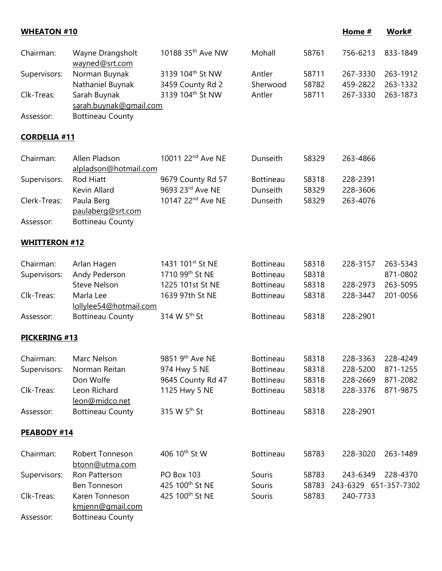| <b>WHEATON #10</b>   |                                           |                               |                  |       | Home #                | Work#    |
|----------------------|-------------------------------------------|-------------------------------|------------------|-------|-----------------------|----------|
| Chairman:            | Wayne Drangsholt<br>wayned@srt.com        | 10188 35 <sup>th</sup> Ave NW | Mohall           | 58761 | 756-6213              | 833-1849 |
| Supervisors:         | Norman Buynak                             | 3139 104th St NW              | Antler           | 58711 | 267-3330              | 263-1912 |
|                      | Nathaniel Buynak                          | 3459 County Rd 2              | Sherwood         | 58782 | 459-2822              | 263-1332 |
| Clk-Treas:           | Sarah Buynak                              | 3139 104 <sup>th</sup> St NW  | Antler           | 58711 | 267-3330              | 263-1873 |
|                      | sarah.buynak@gmail.com                    |                               |                  |       |                       |          |
| Assessor:            | <b>Bottineau County</b>                   |                               |                  |       |                       |          |
| <b>CORDELIA #11</b>  |                                           |                               |                  |       |                       |          |
| Chairman:            | Allen Pladson<br>alpladson@hotmail.com    | 10011 22 <sup>nd</sup> Ave NE | Dunseith         | 58329 | 263-4866              |          |
| Supervisors:         | <b>Rod Hiatt</b>                          | 9679 County Rd 57             | <b>Bottineau</b> | 58318 | 228-2391              |          |
|                      | Kevin Allard                              | 9693 23rd Ave NE              | Dunseith         | 58329 | 228-3606              |          |
| Clerk-Treas:         | Paula Berg<br>paulaberg@srt.com           | 10147 22nd Ave NE             | Dunseith         | 58329 | 263-4076              |          |
| Assessor:            | <b>Bottineau County</b>                   |                               |                  |       |                       |          |
| <b>WHITTERON #12</b> |                                           |                               |                  |       |                       |          |
| Chairman:            | Arlan Hagen                               | 1431 101st St NE              | <b>Bottineau</b> | 58318 | 228-3157              | 263-5343 |
| Supervisors:         | Andy Pederson                             | 1710 99th St NE               | <b>Bottineau</b> | 58318 |                       | 871-0802 |
|                      | <b>Steve Nelson</b>                       | 1225 101st St NE              | <b>Bottineau</b> | 58318 | 228-2973              | 263-5095 |
| Clk-Treas:           | Marla Lee<br>lollylee54@hotmail.com       | 1639 97th St NE               | <b>Bottineau</b> | 58318 | 228-3447              | 201-0056 |
| Assessor:            | <b>Bottineau County</b>                   | 314 W 5 <sup>th</sup> St      | <b>Bottineau</b> | 58318 | 228-2901              |          |
| <b>PICKERING #13</b> |                                           |                               |                  |       |                       |          |
| Chairman:            | Marc Nelson                               | 9851 9th Ave NE               | <b>Bottineau</b> | 58318 | 228-3363              | 228-4249 |
| Supervisors:         | Norman Reitan                             | 974 Hwy 5 NE                  | <b>Bottineau</b> | 58318 | 228-5200              | 871-1255 |
|                      | Don Wolfe                                 | 9645 County Rd 47             | <b>Bottineau</b> | 58318 | 228-2669              | 871-2082 |
| Clk-Treas:           | Leon Richard                              | 1125 Hwy 5 NE                 | <b>Bottineau</b> | 58318 | 228-3376              | 871-9875 |
| Assessor:            | leon@midco.net<br><b>Bottineau County</b> | 315 W 5 <sup>th</sup> St      | <b>Bottineau</b> | 58318 | 228-2901              |          |
| PEABODY #14          |                                           |                               |                  |       |                       |          |
| Chairman:            | Robert Tonneson<br>btonn@utma.com         | 406 10 <sup>th</sup> St W     | <b>Bottineau</b> | 58783 | 228-3020              | 263-1489 |
| Supervisors:         | Ron Patterson                             | PO Box 103                    | Souris           | 58783 | 243-6349              | 228-4370 |
|                      | <b>Ben Tonneson</b>                       | 425 100 <sup>th</sup> St NE   | Souris           | 58783 | 243-6329 651-357-7302 |          |
| Clk-Treas:           | Karen Tonneson<br>kmjenn@gmail.com        | 425 100 <sup>th</sup> St NE   | Souris           | 58783 | 240-7733              |          |
| Assessor:            | <b>Bottineau County</b>                   |                               |                  |       |                       |          |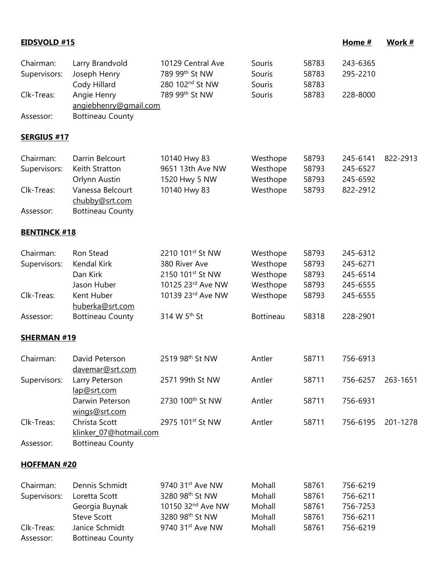| <b>EIDSVOLD #15</b>       |                                                                         |                                                                                                                 |                                      |                                  | Home #                                       | Work #   |
|---------------------------|-------------------------------------------------------------------------|-----------------------------------------------------------------------------------------------------------------|--------------------------------------|----------------------------------|----------------------------------------------|----------|
| Chairman:<br>Supervisors: | Larry Brandvold<br>Joseph Henry<br>Cody Hillard                         | 10129 Central Ave<br>789 99th St NW<br>280 102 <sup>nd</sup> St NW                                              | Souris<br>Souris<br>Souris           | 58783<br>58783<br>58783          | 243-6365<br>295-2210                         |          |
| Clk-Treas:                | Angie Henry<br>angiebhenry@gmail.com                                    | 789 99th St NW                                                                                                  | Souris                               | 58783                            | 228-8000                                     |          |
| Assessor:                 | <b>Bottineau County</b>                                                 |                                                                                                                 |                                      |                                  |                                              |          |
| <b>SERGIUS #17</b>        |                                                                         |                                                                                                                 |                                      |                                  |                                              |          |
| Chairman:<br>Supervisors: | Darrin Belcourt<br>Keith Stratton<br>Orlynn Austin                      | 10140 Hwy 83<br>9651 13th Ave NW<br>1520 Hwy 5 NW                                                               | Westhope<br>Westhope<br>Westhope     | 58793<br>58793<br>58793          | 245-6141<br>245-6527<br>245-6592             | 822-2913 |
| Clk-Treas:                | Vanessa Belcourt<br>chubby@srt.com                                      | 10140 Hwy 83                                                                                                    | Westhope                             | 58793                            | 822-2912                                     |          |
| Assessor:                 | <b>Bottineau County</b>                                                 |                                                                                                                 |                                      |                                  |                                              |          |
| <b>BENTINCK #18</b>       |                                                                         |                                                                                                                 |                                      |                                  |                                              |          |
| Chairman:<br>Supervisors: | Ron Stead<br>Kendal Kirk<br>Dan Kirk<br>Jason Huber                     | 2210 101st St NW<br>380 River Ave<br>2150 101st St NW<br>10125 23rd Ave NW                                      | Westhope<br>Westhope<br>Westhope     | 58793<br>58793<br>58793<br>58793 | 245-6312<br>245-6271<br>245-6514             |          |
| Clk-Treas:                | Kent Huber<br>huberka@srt.com                                           | 10139 23rd Ave NW                                                                                               | Westhope<br>Westhope                 | 58793                            | 245-6555<br>245-6555                         |          |
| Assessor:                 | <b>Bottineau County</b>                                                 | 314 W 5th St                                                                                                    | <b>Bottineau</b>                     | 58318                            | 228-2901                                     |          |
| <b>SHERMAN #19</b>        |                                                                         |                                                                                                                 |                                      |                                  |                                              |          |
| Chairman:                 | David Peterson<br>davemar@srt.com                                       | 2519 98th St NW                                                                                                 | Antler                               | 58711                            | 756-6913                                     |          |
| Supervisors:              | Larry Peterson<br>lap@srt.com                                           | 2571 99th St NW                                                                                                 | Antler                               | 58711                            | 756-6257                                     | 263-1651 |
|                           | Darwin Peterson<br>wings@srt.com                                        | 2730 100 <sup>th</sup> St NW                                                                                    | Antler                               | 58711                            | 756-6931                                     |          |
| Clk-Treas:                | Christa Scott<br>klinker 07@hotmail.com                                 | 2975 101st St NW                                                                                                | Antler                               | 58711                            | 756-6195                                     | 201-1278 |
| Assessor:                 | <b>Bottineau County</b>                                                 |                                                                                                                 |                                      |                                  |                                              |          |
| <b>HOFFMAN #20</b>        |                                                                         |                                                                                                                 |                                      |                                  |                                              |          |
| Chairman:<br>Supervisors: | Dennis Schmidt<br>Loretta Scott<br>Georgia Buynak<br><b>Steve Scott</b> | 9740 31 <sup>st</sup> Ave NW<br>3280 98 <sup>th</sup> St NW<br>10150 32 <sup>nd</sup> Ave NW<br>3280 98th St NW | Mohall<br>Mohall<br>Mohall<br>Mohall | 58761<br>58761<br>58761<br>58761 | 756-6219<br>756-6211<br>756-7253<br>756-6211 |          |
| Clk-Treas:<br>Assessor:   | Janice Schmidt<br><b>Bottineau County</b>                               | 9740 31 <sup>st</sup> Ave NW                                                                                    | Mohall                               | 58761                            | 756-6219                                     |          |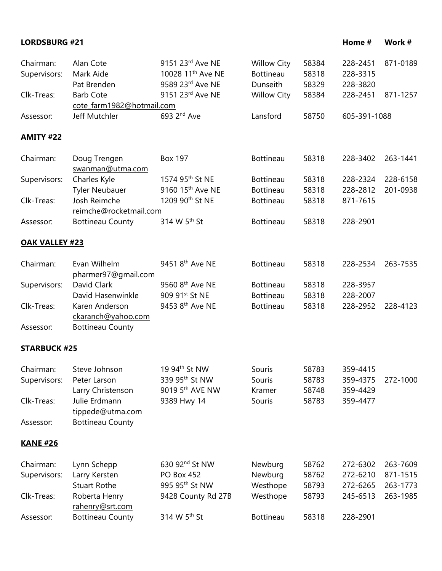| <b>LORDSBURG #21</b>      |                                                     |                                                                               |                                                    |                         | Home #                           | Work #                           |
|---------------------------|-----------------------------------------------------|-------------------------------------------------------------------------------|----------------------------------------------------|-------------------------|----------------------------------|----------------------------------|
| Chairman:<br>Supervisors: | Alan Cote<br>Mark Aide<br>Pat Brenden               | 9151 23rd Ave NE<br>10028 11 <sup>th</sup> Ave NE<br>9589 23rd Ave NE         | <b>Willow City</b><br><b>Bottineau</b><br>Dunseith | 58384<br>58318<br>58329 | 228-2451<br>228-3315<br>228-3820 | 871-0189                         |
| Clk-Treas:                | <b>Barb Cote</b><br>cote farm1982@hotmail.com       | 9151 23rd Ave NE                                                              | <b>Willow City</b>                                 | 58384                   | 228-2451                         | 871-1257                         |
| Assessor:                 | Jeff Mutchler                                       | 693 2 <sup>nd</sup> Ave                                                       | Lansford                                           | 58750                   | 605-391-1088                     |                                  |
| <u>AMITY #22</u>          |                                                     |                                                                               |                                                    |                         |                                  |                                  |
| Chairman:                 | Doug Trengen<br>swanman@utma.com                    | <b>Box 197</b>                                                                | <b>Bottineau</b>                                   | 58318                   | 228-3402                         | 263-1441                         |
| Supervisors:              | Charles Kyle<br><b>Tyler Neubauer</b>               | 1574 95 <sup>th</sup> St NE<br>9160 15th Ave NE                               | <b>Bottineau</b><br><b>Bottineau</b>               | 58318<br>58318          | 228-2324<br>228-2812             | 228-6158<br>201-0938             |
| Clk-Treas:                | Josh Reimche<br>reimche@rocketmail.com              | 1209 90th St NE                                                               | <b>Bottineau</b>                                   | 58318                   | 871-7615                         |                                  |
| Assessor:                 | <b>Bottineau County</b>                             | 314 W 5 <sup>th</sup> St                                                      | <b>Bottineau</b>                                   | 58318                   | 228-2901                         |                                  |
| <b>OAK VALLEY #23</b>     |                                                     |                                                                               |                                                    |                         |                                  |                                  |
| Chairman:                 | Evan Wilhelm<br>pharmer97@gmail.com                 | 9451 8 <sup>th</sup> Ave NE                                                   | <b>Bottineau</b>                                   | 58318                   | 228-2534                         | 263-7535                         |
| Supervisors:              | David Clark<br>David Hasenwinkle                    | 9560 8th Ave NE<br>909 91st St NE                                             | <b>Bottineau</b><br><b>Bottineau</b>               | 58318<br>58318          | 228-3957<br>228-2007             |                                  |
| Clk-Treas:                | Karen Anderson<br>ckaranch@yahoo.com                | 9453 8th Ave NE                                                               | <b>Bottineau</b>                                   | 58318                   | 228-2952                         | 228-4123                         |
| Assessor:                 | <b>Bottineau County</b>                             |                                                                               |                                                    |                         |                                  |                                  |
| <b>STARBUCK #25</b>       |                                                     |                                                                               |                                                    |                         |                                  |                                  |
| Chairman:<br>Supervisors: | Steve Johnson<br>Peter Larson<br>Larry Christenson  | 19 94 <sup>th</sup> St NW<br>339 95th St NW<br>9019 5 <sup>th</sup> AVE NW    | Souris<br>Souris<br>Kramer                         | 58783<br>58783<br>58748 | 359-4415<br>359-4375<br>359-4429 | 272-1000                         |
| Clk-Treas:                | Julie Erdmann<br>tippede@utma.com                   | 9389 Hwy 14                                                                   | Souris                                             | 58783                   | 359-4477                         |                                  |
| Assessor:                 | <b>Bottineau County</b>                             |                                                                               |                                                    |                         |                                  |                                  |
| <b>KANE #26</b>           |                                                     |                                                                               |                                                    |                         |                                  |                                  |
| Chairman:<br>Supervisors: | Lynn Schepp<br>Larry Kersten<br><b>Stuart Rothe</b> | 630 92 <sup>nd</sup> St NW<br><b>PO Box 452</b><br>995 95 <sup>th</sup> St NW | Newburg<br>Newburg<br>Westhope                     | 58762<br>58762<br>58793 | 272-6302<br>272-6210<br>272-6265 | 263-7609<br>871-1515<br>263-1773 |
| Clk-Treas:                | Roberta Henry<br>rahenry@srt.com                    | 9428 County Rd 27B                                                            | Westhope                                           | 58793                   | 245-6513                         | 263-1985                         |
| Assessor:                 | <b>Bottineau County</b>                             | 314 W 5 <sup>th</sup> St                                                      | <b>Bottineau</b>                                   | 58318                   | 228-2901                         |                                  |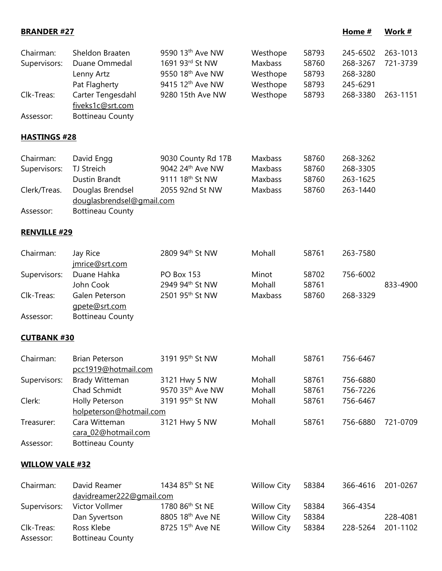| <b>BRANDER #27</b>        |                                                                  |                                                                                                                 |                                             |                                  | Home #                                       | Work #               |
|---------------------------|------------------------------------------------------------------|-----------------------------------------------------------------------------------------------------------------|---------------------------------------------|----------------------------------|----------------------------------------------|----------------------|
| Chairman:<br>Supervisors: | Sheldon Braaten<br>Duane Ommedal<br>Lenny Artz<br>Pat Flagherty  | 9590 13 <sup>th</sup> Ave NW<br>1691 93rd St NW<br>9550 18 <sup>th</sup> Ave NW<br>9415 12 <sup>th</sup> Ave NW | Westhope<br>Maxbass<br>Westhope<br>Westhope | 58793<br>58760<br>58793<br>58793 | 245-6502<br>268-3267<br>268-3280<br>245-6291 | 263-1013<br>721-3739 |
| Clk-Treas:<br>Assessor:   | Carter Tengesdahl<br>fiveks1c@srt.com<br><b>Bottineau County</b> | 9280 15th Ave NW                                                                                                | Westhope                                    | 58793                            | 268-3380                                     | 263-1151             |
|                           |                                                                  |                                                                                                                 |                                             |                                  |                                              |                      |
| <b>HASTINGS #28</b>       |                                                                  |                                                                                                                 |                                             |                                  |                                              |                      |
| Chairman:<br>Supervisors: | David Engg<br><b>TJ Streich</b><br>Dustin Brandt                 | 9030 County Rd 17B<br>9042 24th Ave NW<br>9111 18 <sup>th</sup> St NW                                           | Maxbass<br>Maxbass<br><b>Maxbass</b>        | 58760<br>58760<br>58760          | 268-3262<br>268-3305<br>263-1625             |                      |
| Clerk/Treas.              | Douglas Brendsel<br>douglasbrendsel@gmail.com                    | 2055 92nd St NW                                                                                                 | Maxbass                                     | 58760                            | 263-1440                                     |                      |
| Assessor:                 | <b>Bottineau County</b>                                          |                                                                                                                 |                                             |                                  |                                              |                      |
| <b>RENVILLE #29</b>       |                                                                  |                                                                                                                 |                                             |                                  |                                              |                      |
| Chairman:                 | Jay Rice<br>imrice@srt.com                                       | 2809 94 <sup>th</sup> St NW                                                                                     | Mohall                                      | 58761                            | 263-7580                                     |                      |
| Supervisors:              | Duane Hahka<br>John Cook                                         | <b>PO Box 153</b><br>2949 94th St NW                                                                            | Minot<br>Mohall                             | 58702<br>58761                   | 756-6002                                     | 833-4900             |
| Clk-Treas:                | Galen Peterson<br>gpete@srt.com                                  | 2501 95 <sup>th</sup> St NW                                                                                     | Maxbass                                     | 58760                            | 268-3329                                     |                      |
| Assessor:                 | <b>Bottineau County</b>                                          |                                                                                                                 |                                             |                                  |                                              |                      |
| <b>CUTBANK#30</b>         |                                                                  |                                                                                                                 |                                             |                                  |                                              |                      |
| Chairman:                 | <b>Brian Peterson</b><br>pcc1919@hotmail.com                     | 3191 95 <sup>th</sup> St NW                                                                                     | Mohall                                      | 58761                            | 756-6467                                     |                      |
| Supervisors:              | <b>Brady Witteman</b>                                            | 3121 Hwy 5 NW                                                                                                   | Mohall                                      | 58761                            | 756-6880                                     |                      |
|                           | Chad Schmidt                                                     | 9570 35th Ave NW                                                                                                | Mohall                                      | 58761                            | 756-7226                                     |                      |
| Clerk:                    | Holly Peterson<br>holpeterson@hotmail.com                        | 3191 95 <sup>th</sup> St NW                                                                                     | Mohall                                      | 58761                            | 756-6467                                     |                      |
| Treasurer:                | Cara Witteman<br>cara 02@hotmail.com                             | 3121 Hwy 5 NW                                                                                                   | Mohall                                      | 58761                            | 756-6880                                     | 721-0709             |
| Assessor:                 | <b>Bottineau County</b>                                          |                                                                                                                 |                                             |                                  |                                              |                      |
| <b>WILLOW VALE #32</b>    |                                                                  |                                                                                                                 |                                             |                                  |                                              |                      |
| Chairman:                 | David Reamer<br>davidreamer222@gmail.com                         | 1434 85 <sup>th</sup> St NE                                                                                     | <b>Willow City</b>                          | 58384                            | 366-4616                                     | 201-0267             |
| Supervisors:              | Victor Vollmer                                                   | 1780 86th St NE                                                                                                 | <b>Willow City</b>                          | 58384                            | 366-4354                                     |                      |
|                           | Dan Syvertson                                                    | 8805 18th Ave NE                                                                                                | <b>Willow City</b>                          | 58384                            |                                              | 228-4081             |

Clk-Treas: Ross Klebe 8725 15th Ave NE Willow City 58384 228-5264 201-1102

Assessor: Bottineau County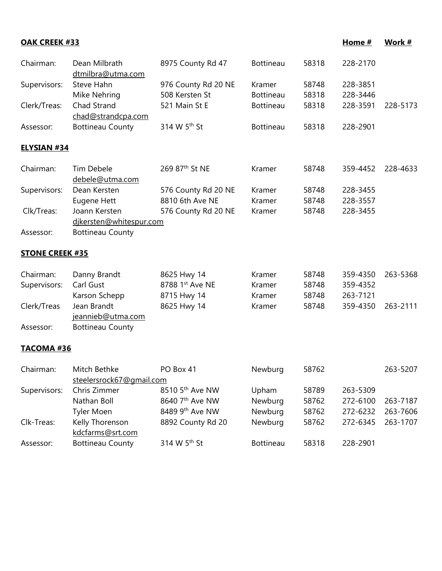| <b>OAK CREEK #33</b>   |                                          |                            |                  |       | Home #   | Work #   |
|------------------------|------------------------------------------|----------------------------|------------------|-------|----------|----------|
| Chairman:              | Dean Milbrath<br>dtmilbra@utma.com       | 8975 County Rd 47          | <b>Bottineau</b> | 58318 | 228-2170 |          |
| Supervisors:           | Steve Hahn                               | 976 County Rd 20 NE        | Kramer           | 58748 | 228-3851 |          |
|                        | Mike Nehring                             | 508 Kersten St             | <b>Bottineau</b> | 58318 | 228-3446 |          |
| Clerk/Treas:           | Chad Strand<br>chad@strandcpa.com        | 521 Main St E              | <b>Bottineau</b> | 58318 | 228-3591 | 228-5173 |
| Assessor:              | <b>Bottineau County</b>                  | 314 W 5 <sup>th</sup> St   | <b>Bottineau</b> | 58318 | 228-2901 |          |
| <b>ELYSIAN #34</b>     |                                          |                            |                  |       |          |          |
| Chairman:              | Tim Debele<br>debele@utma.com            | 269 87 <sup>th</sup> St NE | Kramer           | 58748 | 359-4452 | 228-4633 |
| Supervisors:           | Dean Kersten                             | 576 County Rd 20 NE        | Kramer           | 58748 | 228-3455 |          |
|                        | Eugene Hett                              | 8810 6th Ave NE            | Kramer           | 58748 | 228-3557 |          |
| Clk/Treas:             | Joann Kersten<br>djkersten@whitespur.com | 576 County Rd 20 NE        | Kramer           | 58748 | 228-3455 |          |
| Assessor:              | <b>Bottineau County</b>                  |                            |                  |       |          |          |
| <b>STONE CREEK #35</b> |                                          |                            |                  |       |          |          |
| Chairman:              | Danny Brandt                             | 8625 Hwy 14                | Kramer           | 58748 | 359-4350 | 263-5368 |
| Supervisors:           | Carl Gust                                | 8788 1st Ave NE            | Kramer           | 58748 | 359-4352 |          |
|                        | Karson Schepp                            | 8715 Hwy 14                | Kramer           | 58748 | 263-7121 |          |
| Clerk/Treas            | Jean Brandt<br>jeannieb@utma.com         | 8625 Hwy 14                | Kramer           | 58748 | 359-4350 | 263-2111 |
| Assessor:              | <b>Bottineau County</b>                  |                            |                  |       |          |          |
| TACOMA #36             |                                          |                            |                  |       |          |          |
| Chairman:              | Mitch Bethke                             | PO Box 41                  | Newburg          | 58762 |          | 263-5207 |
|                        | steelersrock67@gmail.com<br>Chris Zimmer | 8510 5th Ave NW            |                  | 58789 | 263-5309 |          |
| Supervisors:           | Nathan Boll                              | 8640 7th Ave NW            | Upham<br>Newburg | 58762 | 272-6100 | 263-7187 |
|                        | <b>Tyler Moen</b>                        | 8489 9th Ave NW            | Newburg          | 58762 | 272-6232 | 263-7606 |
| Clk-Treas:             | Kelly Thorenson                          | 8892 County Rd 20          | Newburg          | 58762 | 272-6345 | 263-1707 |
|                        | kdcfarms@srt.com                         |                            |                  |       |          |          |
| Assessor:              | <b>Bottineau County</b>                  | 314 W 5 <sup>th</sup> St   | <b>Bottineau</b> | 58318 | 228-2901 |          |
|                        |                                          |                            |                  |       |          |          |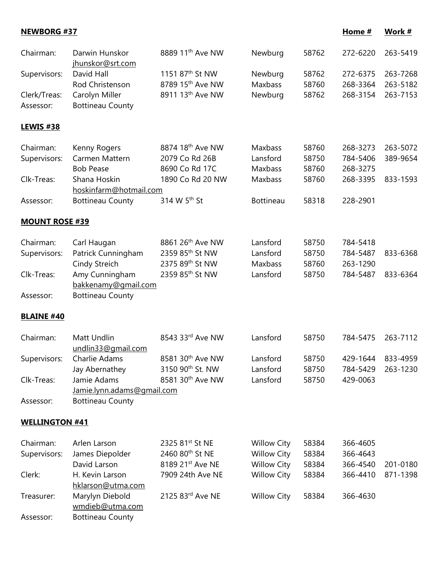**NEWBORG #37 Home # Work #**

| Chairman:             | Darwin Hunskor<br>jhunskor@srt.com | 8889 11 <sup>th</sup> Ave NW                               | Newburg            | 58762 | 272-6220 | 263-5419 |
|-----------------------|------------------------------------|------------------------------------------------------------|--------------------|-------|----------|----------|
| Supervisors:          | David Hall                         | 1151 87 <sup>th</sup> St NW                                | Newburg            | 58762 | 272-6375 | 263-7268 |
|                       | Rod Christenson                    | 8789 15 <sup>th</sup> Ave NW                               | Maxbass            | 58760 | 268-3364 | 263-5182 |
| Clerk/Treas:          | Carolyn Miller                     | 8911 13 <sup>th</sup> Ave NW                               | Newburg            | 58762 | 268-3154 | 263-7153 |
| Assessor:             | <b>Bottineau County</b>            |                                                            |                    |       |          |          |
| <b>LEWIS #38</b>      |                                    |                                                            |                    |       |          |          |
| Chairman:             | Kenny Rogers                       | 8874 18th Ave NW                                           | Maxbass            | 58760 | 268-3273 | 263-5072 |
| Supervisors:          | Carmen Mattern                     | 2079 Co Rd 26B                                             | Lansford           | 58750 | 784-5406 | 389-9654 |
|                       | <b>Bob Pease</b>                   | 8690 Co Rd 17C                                             | Maxbass            | 58760 | 268-3275 |          |
| Clk-Treas:            | Shana Hoskin                       | 1890 Co Rd 20 NW                                           | Maxbass            | 58760 | 268-3395 | 833-1593 |
|                       | hoskinfarm@hotmail.com             |                                                            |                    |       |          |          |
| Assessor:             | <b>Bottineau County</b>            | 314 W 5 <sup>th</sup> St                                   | <b>Bottineau</b>   | 58318 | 228-2901 |          |
| <b>MOUNT ROSE #39</b> |                                    |                                                            |                    |       |          |          |
| Chairman:             | Carl Haugan                        | 8861 26 <sup>th</sup> Ave NW                               | Lansford           | 58750 | 784-5418 |          |
| Supervisors:          | Patrick Cunningham                 | 2359 85 <sup>th</sup> St NW                                | Lansford           | 58750 | 784-5487 | 833-6368 |
|                       | Cindy Streich                      | 2375 89th St NW                                            | Maxbass            | 58760 | 263-1290 |          |
| Clk-Treas:            | Amy Cunningham                     | 2359 85th St NW                                            | Lansford           | 58750 | 784-5487 | 833-6364 |
|                       | bakkenamy@gmail.com                |                                                            |                    |       |          |          |
| Assessor:             | <b>Bottineau County</b>            |                                                            |                    |       |          |          |
|                       |                                    |                                                            |                    |       |          |          |
| <b>BLAINE #40</b>     |                                    |                                                            |                    |       |          |          |
| Chairman:             | Matt Undlin<br>undlin33@gmail.com  | 8543 33rd Ave NW                                           | Lansford           | 58750 | 784-5475 | 263-7112 |
| Supervisors:          | Charlie Adams                      | 8581 30th Ave NW                                           | Lansford           | 58750 | 429-1644 | 833-4959 |
|                       | Jay Abernathey                     | 3150 90th St. NW                                           | Lansford           | 58750 | 784-5429 | 263-1230 |
| Clk-Treas:            | Jamie Adams                        | 8581 30th Ave NW                                           | Lansford           | 58750 | 429-0063 |          |
|                       | Jamie.lynn.adams@gmail.com         |                                                            |                    |       |          |          |
| Assessor:             | <b>Bottineau County</b>            |                                                            |                    |       |          |          |
| <b>WELLINGTON #41</b> |                                    |                                                            |                    |       |          |          |
|                       | Arlen Larson                       |                                                            |                    |       |          |          |
| Chairman:             |                                    | 2325 81 <sup>st</sup> St NE<br>2460 80 <sup>th</sup> St NE | <b>Willow City</b> | 58384 | 366-4605 |          |
| Supervisors:          | James Diepolder                    |                                                            | <b>Willow City</b> | 58384 | 366-4643 |          |
|                       | David Larson                       | 8189 21st Ave NE                                           | <b>Willow City</b> | 58384 | 366-4540 | 201-0180 |
| Clerk:                | H. Kevin Larson                    | 7909 24th Ave NE                                           | <b>Willow City</b> | 58384 | 366-4410 | 871-1398 |
|                       | hklarson@utma.com                  |                                                            |                    |       |          |          |
| Treasurer:            | Marylyn Diebold<br>wmdieb@utma.com | 2125 83rd Ave NE                                           | <b>Willow City</b> | 58384 | 366-4630 |          |
| Assessor:             | <b>Bottineau County</b>            |                                                            |                    |       |          |          |